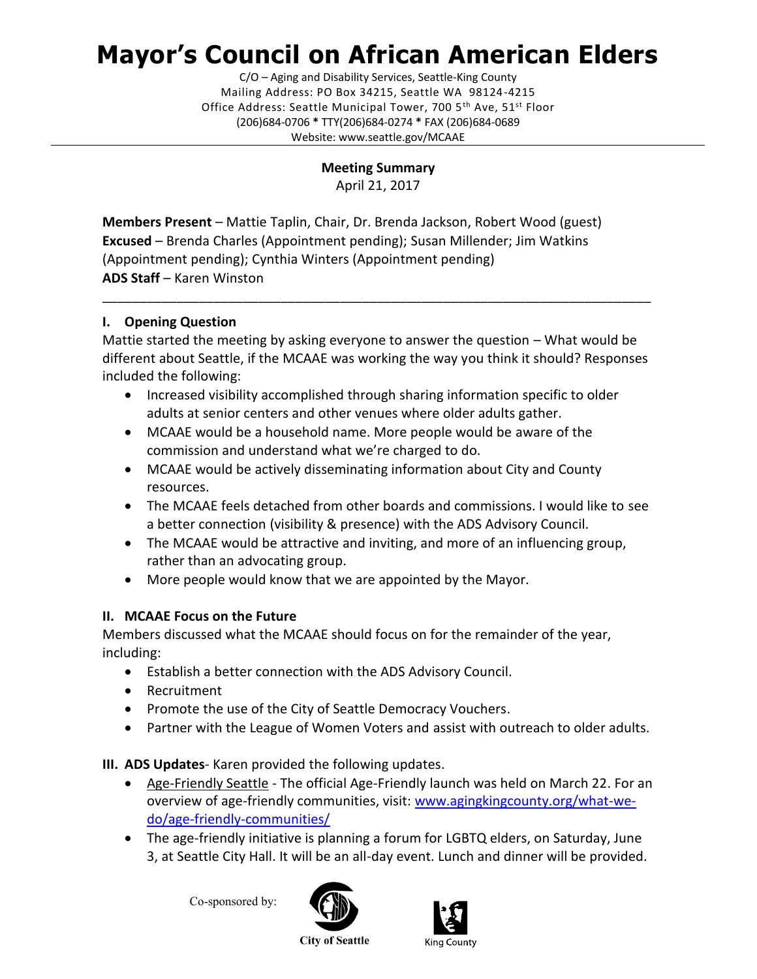## **Mayor's Council on African American Elders**

C/O – Aging and Disability Services, Seattle-King County Mailing Address: PO Box 34215, Seattle WA 98124-4215 Office Address: Seattle Municipal Tower, 700 5<sup>th</sup> Ave, 51<sup>st</sup> Floor (206)684-0706 **\*** TTY(206)684-0274 **\*** FAX (206)684-0689 Website: www.seattle.gov/MCAAE

**Meeting Summary**

April 21, 2017

**Members Present** – Mattie Taplin, Chair, Dr. Brenda Jackson, Robert Wood (guest) **Excused** – Brenda Charles (Appointment pending); Susan Millender; Jim Watkins (Appointment pending); Cynthia Winters (Appointment pending) **ADS Staff** – Karen Winston

## **I. Opening Question**

Mattie started the meeting by asking everyone to answer the question – What would be different about Seattle, if the MCAAE was working the way you think it should? Responses included the following:

\_\_\_\_\_\_\_\_\_\_\_\_\_\_\_\_\_\_\_\_\_\_\_\_\_\_\_\_\_\_\_\_\_\_\_\_\_\_\_\_\_\_\_\_\_\_\_\_\_\_\_\_\_\_\_\_\_\_\_\_\_\_\_\_\_\_\_\_\_\_\_\_\_\_

- Increased visibility accomplished through sharing information specific to older adults at senior centers and other venues where older adults gather.
- MCAAE would be a household name. More people would be aware of the commission and understand what we're charged to do.
- MCAAE would be actively disseminating information about City and County resources.
- The MCAAE feels detached from other boards and commissions. I would like to see a better connection (visibility & presence) with the ADS Advisory Council.
- The MCAAE would be attractive and inviting, and more of an influencing group, rather than an advocating group.
- More people would know that we are appointed by the Mayor.

## **II. MCAAE Focus on the Future**

Members discussed what the MCAAE should focus on for the remainder of the year, including:

- Establish a better connection with the ADS Advisory Council.
- Recruitment
- Promote the use of the City of Seattle Democracy Vouchers.
- Partner with the League of Women Voters and assist with outreach to older adults.

**III. ADS Updates**- Karen provided the following updates.

- Age-Friendly Seattle The official Age-Friendly launch was held on March 22. For an overview of age-friendly communities, visit: [www.agingkingcounty.org/what-we](http://www.agingkingcounty.org/what-we-do/age-friendly-communities/)[do/age-friendly-communities/](http://www.agingkingcounty.org/what-we-do/age-friendly-communities/)
- The age-friendly initiative is planning a forum for LGBTQ elders, on Saturday, June 3, at Seattle City Hall. It will be an all-day event. Lunch and dinner will be provided.

Co-sponsored by:





**City of Seattle**